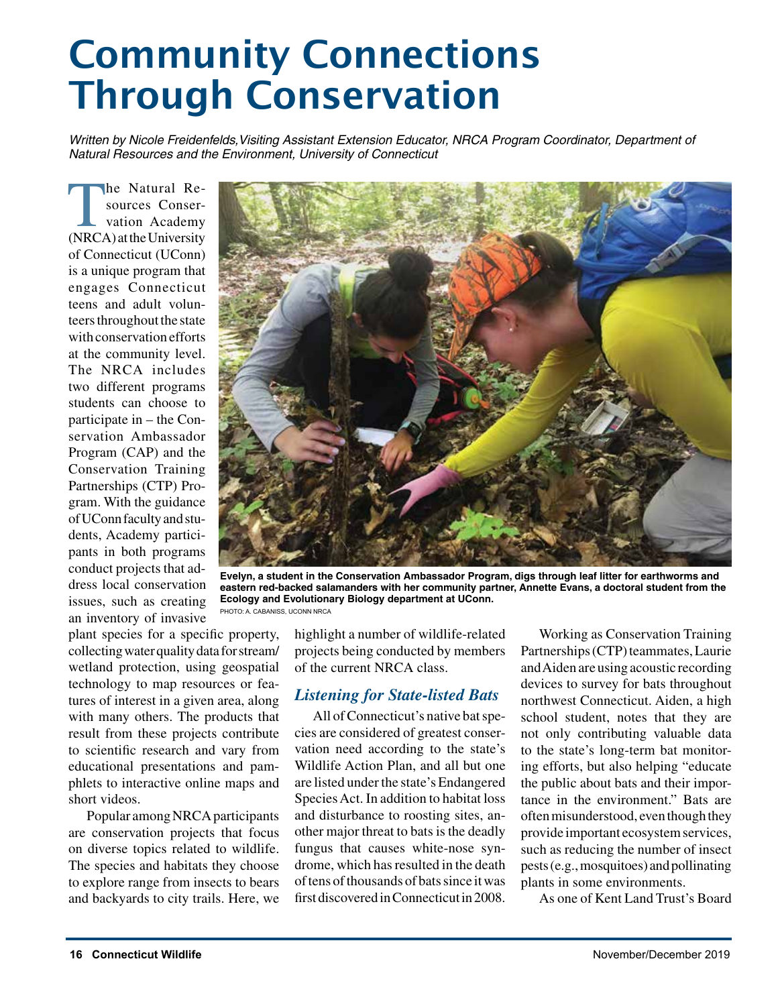# Community Connections Through Conservation

*Written by Nicole Freidenfelds, Visiting Assistant Extension Educator, NRCA Program Coordinator, Department of Natural Resources and the Environment, University of Connecticut*

the Natural Resources Conservation Academy (NRCA) at the University of Connecticut (UConn) is a unique program that engages Connecticut teens and adult volunteers throughout the state with conservation efforts at the community level. The NRCA includes two different programs students can choose to participate in – the Conservation Ambassador Program (CAP) and the Conservation Training Partnerships (CTP) Program. With the guidance of UConn faculty and students, Academy participants in both programs conduct projects that address local conservation issues, such as creating an inventory of invasive



**Evelyn, a student in the Conservation Ambassador Program, digs through leaf litter for earthworms and eastern red-backed salamanders with her community partner, Annette Evans, a doctoral student from the Ecology and Evolutionary Biology department at UConn.** PHOTO: A. CABANISS, UCONN NRCA

plant species for a specific property, collecting water quality data for stream/ wetland protection, using geospatial technology to map resources or features of interest in a given area, along with many others. The products that result from these projects contribute to scientific research and vary from educational presentations and pamphlets to interactive online maps and short videos.

Popular among NRCA participants are conservation projects that focus on diverse topics related to wildlife. The species and habitats they choose to explore range from insects to bears and backyards to city trails. Here, we highlight a number of wildlife-related projects being conducted by members of the current NRCA class.

## *Listening for State-listed Bats*

All of Connecticut's native bat species are considered of greatest conservation need according to the state's Wildlife Action Plan, and all but one are listed under the state's Endangered Species Act. In addition to habitat loss and disturbance to roosting sites, another major threat to bats is the deadly fungus that causes white-nose syndrome, which has resulted in the death of tens of thousands of bats since it was first discovered in Connecticut in 2008.

Working as Conservation Training Partnerships (CTP) teammates, Laurie and Aiden are using acoustic recording devices to survey for bats throughout northwest Connecticut. Aiden, a high school student, notes that they are not only contributing valuable data to the state's long-term bat monitoring efforts, but also helping "educate the public about bats and their importance in the environment." Bats are often misunderstood, even though they provide important ecosystem services, such as reducing the number of insect pests (e.g., mosquitoes) and pollinating plants in some environments.

As one of Kent Land Trust's Board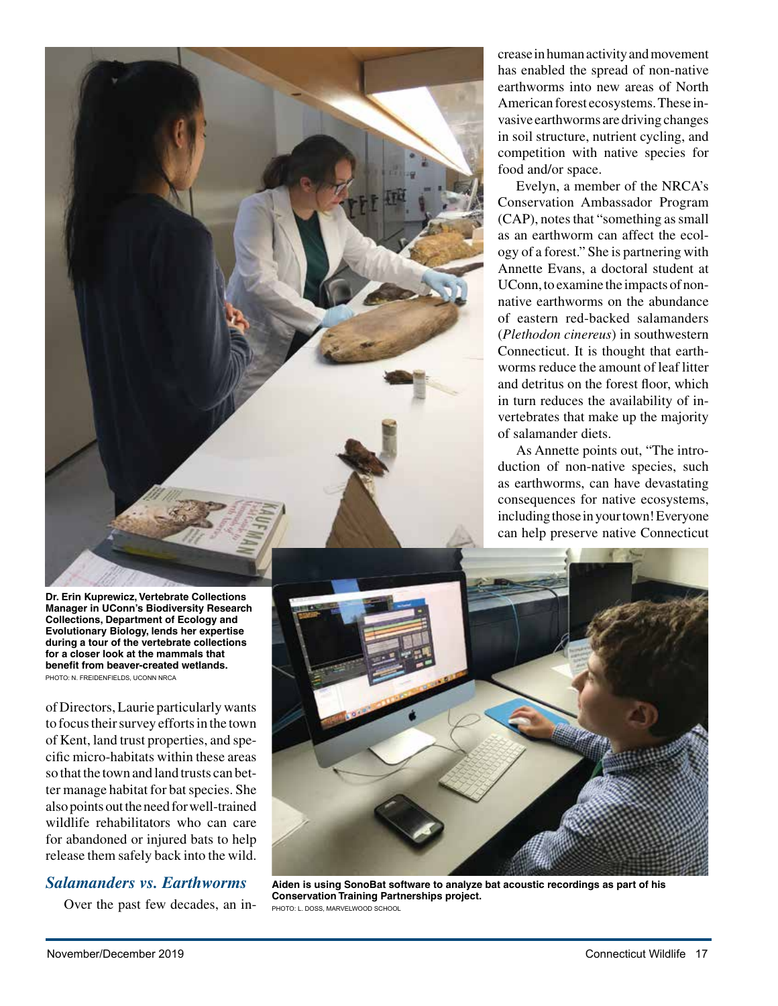

crease in human activity and movement has enabled the spread of non-native earthworms into new areas of North American forest ecosystems. These invasive earthworms are driving changes in soil structure, nutrient cycling, and competition with native species for food and/or space.

Evelyn, a member of the NRCA's Conservation Ambassador Program (CAP), notes that "something as small as an earthworm can affect the ecology of a forest." She is partnering with Annette Evans, a doctoral student at UConn, to examine the impacts of nonnative earthworms on the abundance of eastern red-backed salamanders (*Plethodon cinereus*) in southwestern Connecticut. It is thought that earthworms reduce the amount of leaf litter and detritus on the forest floor, which in turn reduces the availability of invertebrates that make up the majority of salamander diets.

As Annette points out, "The introduction of non-native species, such as earthworms, can have devastating consequences for native ecosystems, including those in your town! Everyone can help preserve native Connecticut

**Dr. Erin Kuprewicz, Vertebrate Collections Manager in UConn's Biodiversity Research Collections, Department of Ecology and Evolutionary Biology, lends her expertise during a tour of the vertebrate collections for a closer look at the mammals that benefit from beaver-created wetlands.** PHOTO: N. FREIDENFIELDS, UCONN NRCA

of Directors, Laurie particularly wants to focus their survey efforts in the town of Kent, land trust properties, and specific micro-habitats within these areas so that the town and land trusts can better manage habitat for bat species. She also points out the need for well-trained wildlife rehabilitators who can care for abandoned or injured bats to help release them safely back into the wild.

## *Salamanders vs. Earthworms*

Over the past few decades, an in-



**Aiden is using SonoBat software to analyze bat acoustic recordings as part of his Conservation Training Partnerships project.** PHOTO: L. DOSS, MARVELWOOD SCHOOL